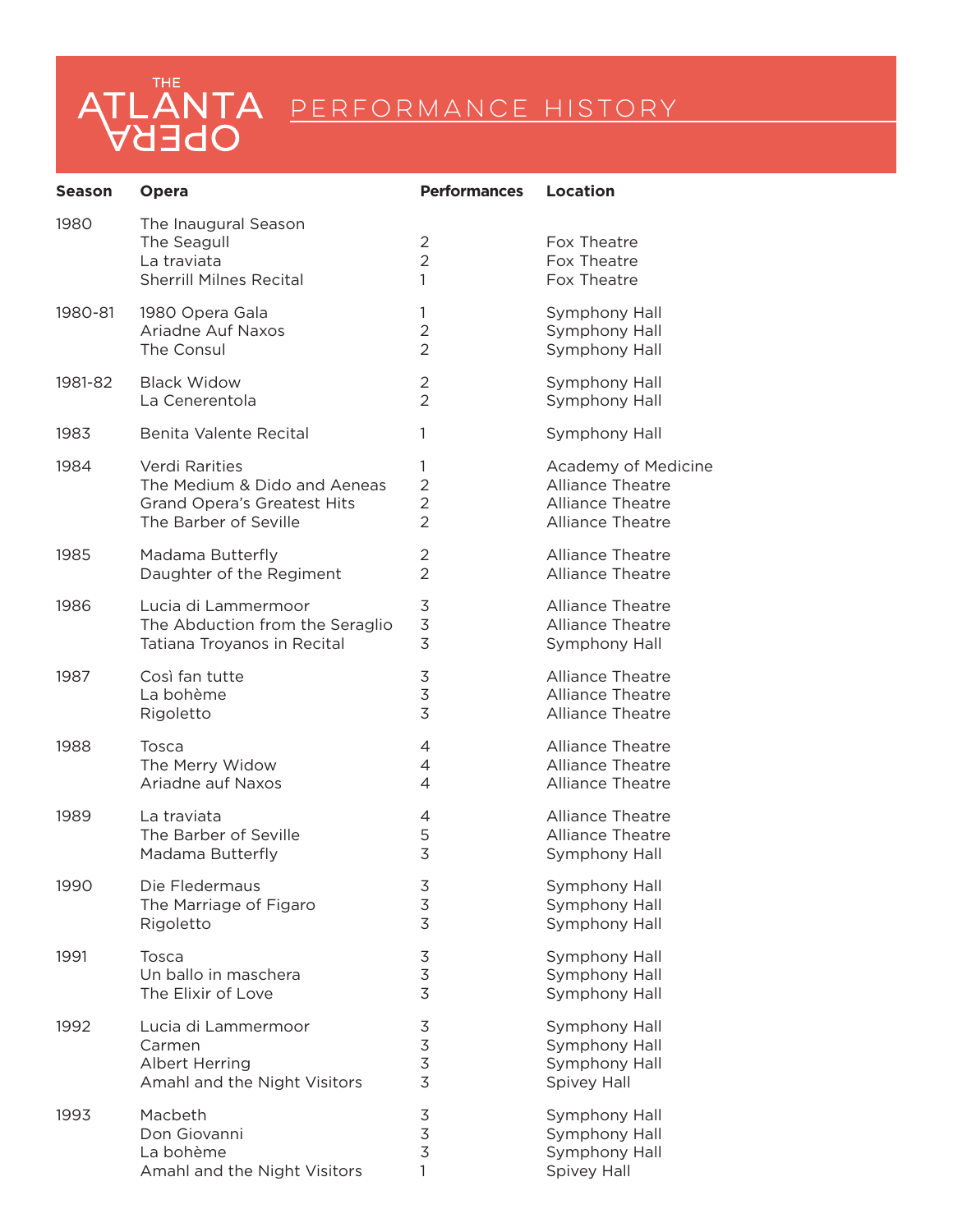| <b>Season</b> | <b>Opera</b>                                                                         | <b>Performances</b>                   | <b>Location</b>                                                |
|---------------|--------------------------------------------------------------------------------------|---------------------------------------|----------------------------------------------------------------|
| 1980          | The Inaugural Season<br>The Seagull<br>La traviata<br><b>Sherrill Milnes Recital</b> | $\overline{2}$<br>$\overline{2}$<br>1 | Fox Theatre<br>Fox Theatre<br>Fox Theatre                      |
| 1980-81       | 1980 Opera Gala                                                                      | $\mathbf{1}$                          | Symphony Hall                                                  |
|               | Ariadne Auf Naxos                                                                    | $\overline{2}$                        | Symphony Hall                                                  |
|               | The Consul                                                                           | $\overline{2}$                        | Symphony Hall                                                  |
| 1981-82       | <b>Black Widow</b>                                                                   | 2                                     | Symphony Hall                                                  |
|               | La Cenerentola                                                                       | $\overline{2}$                        | Symphony Hall                                                  |
| 1983          | Benita Valente Recital                                                               | 1                                     | Symphony Hall                                                  |
| 1984          | Verdi Rarities                                                                       | 1                                     | Academy of Medicine                                            |
|               | The Medium & Dido and Aeneas                                                         | $\overline{2}$                        | Alliance Theatre                                               |
|               | <b>Grand Opera's Greatest Hits</b>                                                   | $\overline{2}$                        | <b>Alliance Theatre</b>                                        |
|               | The Barber of Seville                                                                | $\overline{2}$                        | <b>Alliance Theatre</b>                                        |
| 1985          | Madama Butterfly                                                                     | 2                                     | Alliance Theatre                                               |
|               | Daughter of the Regiment                                                             | $\overline{2}$                        | <b>Alliance Theatre</b>                                        |
| 1986          | Lucia di Lammermoor                                                                  | 3                                     | Alliance Theatre                                               |
|               | The Abduction from the Seraglio                                                      | $\overline{3}$                        | Alliance Theatre                                               |
|               | Tatiana Troyanos in Recital                                                          | $\overline{3}$                        | Symphony Hall                                                  |
| 1987          | Così fan tutte                                                                       | 3                                     | Alliance Theatre                                               |
|               | La bohème                                                                            | 3                                     | <b>Alliance Theatre</b>                                        |
|               | Rigoletto                                                                            | 3                                     | <b>Alliance Theatre</b>                                        |
| 1988          | Tosca                                                                                | 4                                     | <b>Alliance Theatre</b>                                        |
|               | The Merry Widow                                                                      | 4                                     | <b>Alliance Theatre</b>                                        |
|               | Ariadne auf Naxos                                                                    | 4                                     | <b>Alliance Theatre</b>                                        |
| 1989          | La traviata                                                                          | 4                                     | <b>Alliance Theatre</b>                                        |
|               | The Barber of Seville                                                                | 5                                     | <b>Alliance Theatre</b>                                        |
|               | Madama Butterfly                                                                     | 3                                     | Symphony Hall                                                  |
| 1990          | Die Fledermaus<br>The Marriage of Figaro<br>Rigoletto                                | $rac{3}{3}$<br>$\overline{3}$         | Symphony Hall<br>Symphony Hall<br>Symphony Hall                |
| 1991          | Tosca                                                                                | $\mathsf 3$                           | Symphony Hall                                                  |
|               | Un ballo in maschera                                                                 | 3                                     | Symphony Hall                                                  |
|               | The Elixir of Love                                                                   | 3                                     | Symphony Hall                                                  |
| 1992          | Lucia di Lammermoor<br>Carmen<br>Albert Herring<br>Amahl and the Night Visitors      | 3<br>$rac{3}{3}$<br>$\overline{3}$    | Symphony Hall<br>Symphony Hall<br>Symphony Hall<br>Spivey Hall |
| 1993          | Macbeth                                                                              | $\mathsf 3$                           | Symphony Hall                                                  |
|               | Don Giovanni                                                                         | $\overline{3}$                        | Symphony Hall                                                  |
|               | La bohème                                                                            | $\overline{3}$                        | Symphony Hall                                                  |
|               | Amahl and the Night Visitors                                                         | 1                                     | Spivey Hall                                                    |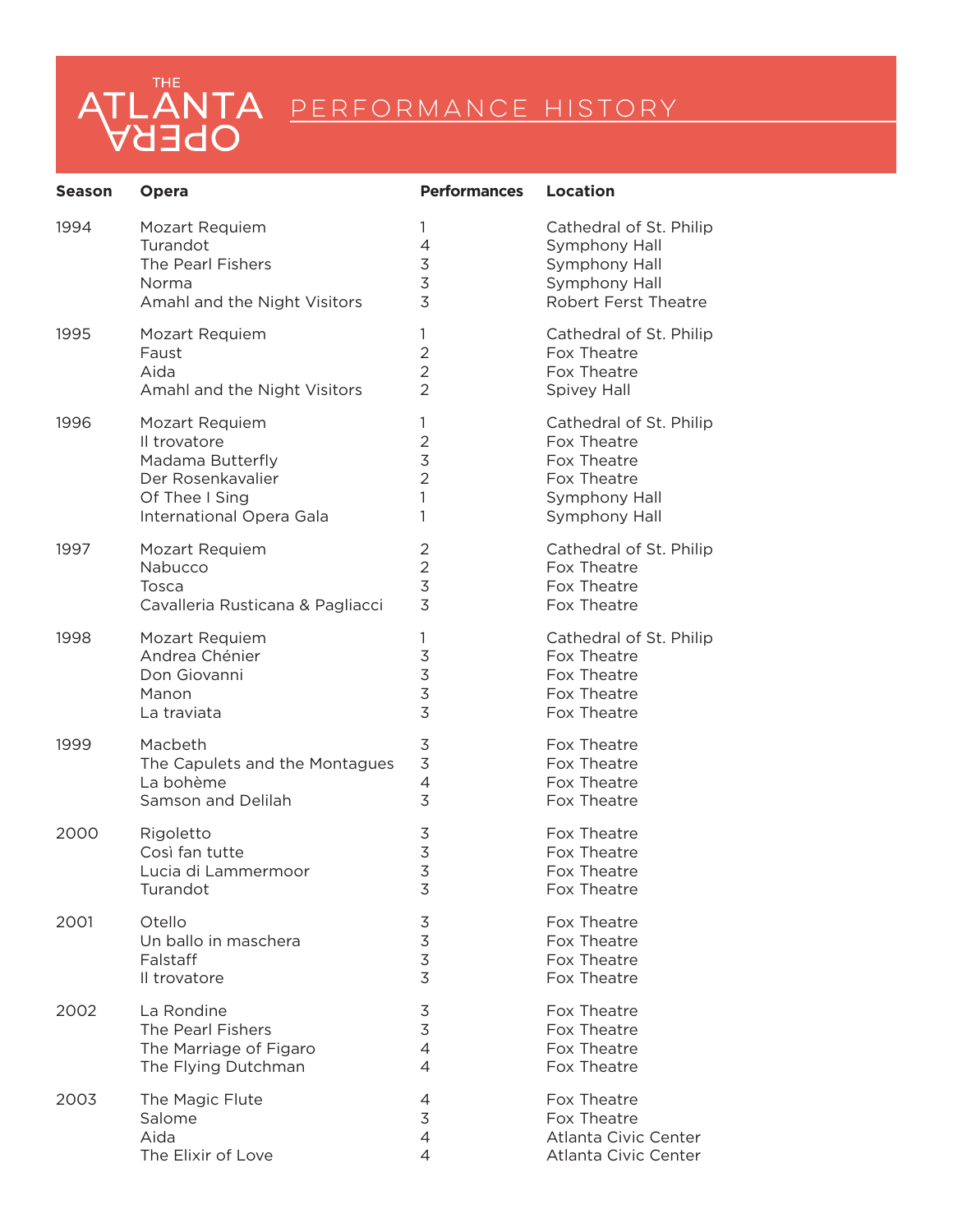| <b>Season</b> | Opera                            | <b>Performances</b> | <b>Location</b>             |
|---------------|----------------------------------|---------------------|-----------------------------|
| 1994          | Mozart Requiem                   | 1                   | Cathedral of St. Philip     |
|               | Turandot                         | $\overline{4}$      | Symphony Hall               |
|               | The Pearl Fishers                | $\overline{3}$      | Symphony Hall               |
|               | Norma                            | 3                   | Symphony Hall               |
|               | Amahl and the Night Visitors     | 3                   | <b>Robert Ferst Theatre</b> |
| 1995          | Mozart Requiem                   | 1                   | Cathedral of St. Philip     |
|               | Faust                            | $\overline{2}$      | Fox Theatre                 |
|               | Aida                             | $\overline{2}$      | Fox Theatre                 |
|               | Amahl and the Night Visitors     | $\overline{2}$      | <b>Spivey Hall</b>          |
| 1996          | Mozart Requiem                   | 1                   | Cathedral of St. Philip     |
|               | Il trovatore                     | $\overline{2}$      | Fox Theatre                 |
|               | Madama Butterfly                 | $\overline{3}$      | Fox Theatre                 |
|               | Der Rosenkavalier                | $\overline{2}$      | Fox Theatre                 |
|               | Of Thee I Sing                   | 1                   | Symphony Hall               |
|               | International Opera Gala         | 1                   | Symphony Hall               |
| 1997          | Mozart Requiem                   | 2                   | Cathedral of St. Philip     |
|               | Nabucco                          | $\overline{2}$      | Fox Theatre                 |
|               | Tosca                            | 3                   | Fox Theatre                 |
|               | Cavalleria Rusticana & Pagliacci | 3                   | Fox Theatre                 |
| 1998          | Mozart Requiem                   | 1                   | Cathedral of St. Philip     |
|               | Andrea Chénier                   | $\mathsf 3$         | Fox Theatre                 |
|               | Don Giovanni                     | 3                   | Fox Theatre                 |
|               | Manon                            | 3                   | Fox Theatre                 |
|               | La traviata                      | 3                   | Fox Theatre                 |
| 1999          | Macbeth                          | 3                   | Fox Theatre                 |
|               | The Capulets and the Montagues   | $\overline{3}$      | Fox Theatre                 |
|               | La bohème                        | 4                   | Fox Theatre                 |
|               | Samson and Delilah               | 3                   | Fox Theatre                 |
| 2000          | Rigoletto                        | 3                   | Fox Theatre                 |
|               | Così fan tutte                   | 3                   | Fox Theatre                 |
|               | Lucia di Lammermoor              | 3                   | Fox Theatre                 |
|               | Turandot                         | 3                   | Fox Theatre                 |
| 2001          | Otello                           | 3                   | Fox Theatre                 |
|               | Un ballo in maschera             | 3                   | Fox Theatre                 |
|               | Falstaff                         | $\overline{3}$      | Fox Theatre                 |
|               | Il trovatore                     | 3                   | Fox Theatre                 |
| 2002          | La Rondine                       | 3                   | Fox Theatre                 |
|               | The Pearl Fishers                | $\mathfrak{Z}$      | Fox Theatre                 |
|               | The Marriage of Figaro           | $\overline{4}$      | Fox Theatre                 |
|               | The Flying Dutchman              | $\overline{4}$      | Fox Theatre                 |
| 2003          | The Magic Flute                  | 4                   | Fox Theatre                 |
|               | Salome                           | 3                   | Fox Theatre                 |
|               | Aida                             | 4                   | Atlanta Civic Center        |
|               | The Elixir of Love               | 4                   | Atlanta Civic Center        |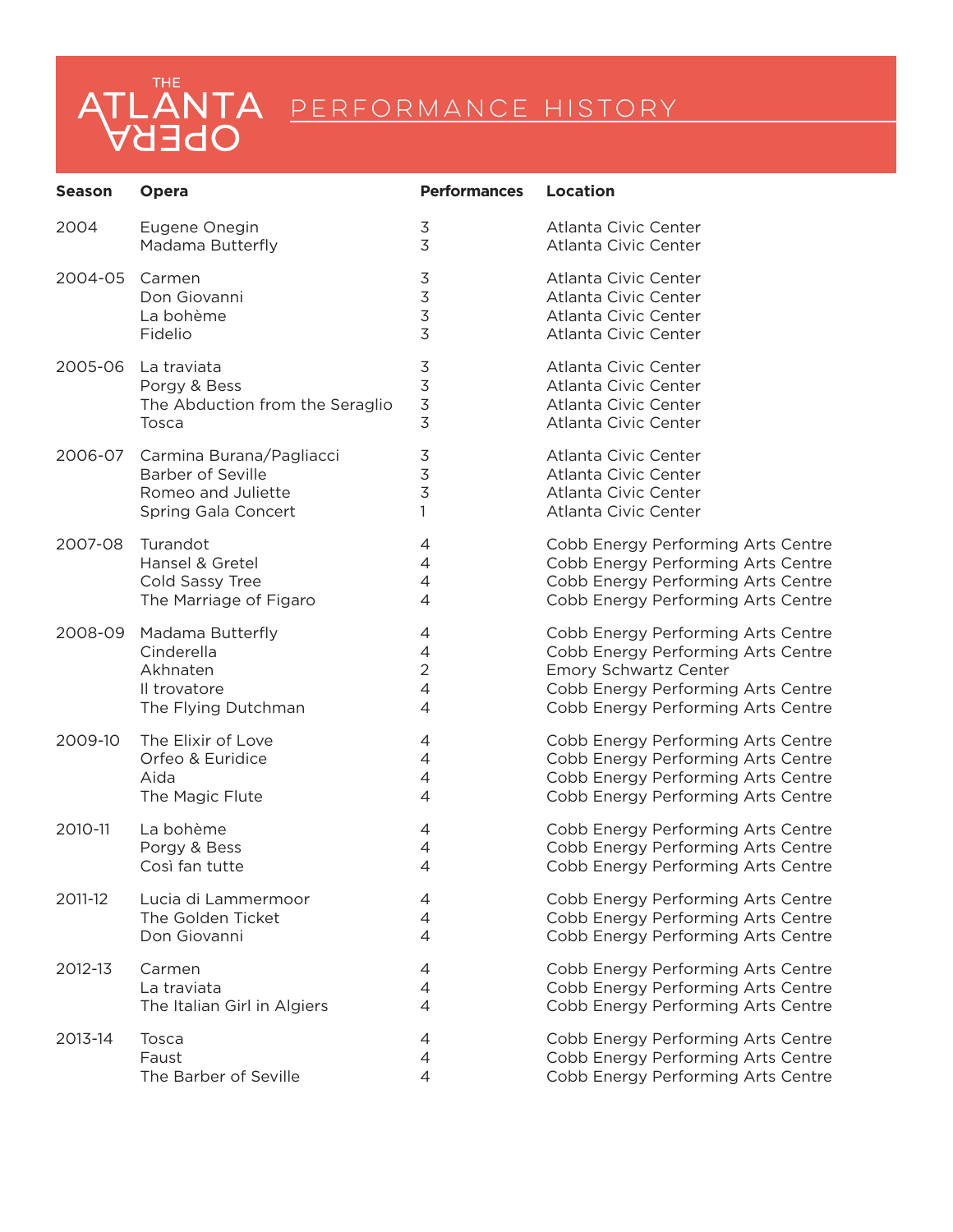| <b>Season</b> | <b>Opera</b>                    | <b>Performances</b> | <b>Location</b>                    |
|---------------|---------------------------------|---------------------|------------------------------------|
| 2004          | Eugene Onegin                   | 3                   | Atlanta Civic Center               |
|               | Madama Butterfly                | 3                   | Atlanta Civic Center               |
| 2004-05       | Carmen                          | 3                   | Atlanta Civic Center               |
|               | Don Giovanni                    | $\mathsf 3$         | Atlanta Civic Center               |
|               | La bohème                       | $\mathsf 3$         | Atlanta Civic Center               |
|               | Fidelio                         | 3                   | Atlanta Civic Center               |
| 2005-06       | La traviata                     | 3                   | Atlanta Civic Center               |
|               | Porgy & Bess                    | $\mathfrak{Z}$      | Atlanta Civic Center               |
|               | The Abduction from the Seraglio | $\mathsf 3$         | Atlanta Civic Center               |
|               | Tosca                           | 3                   | Atlanta Civic Center               |
| 2006-07       | Carmina Burana/Pagliacci        | 3                   | Atlanta Civic Center               |
|               | <b>Barber of Seville</b>        | $\mathfrak{Z}$      | Atlanta Civic Center               |
|               | Romeo and Juliette              | 3                   | Atlanta Civic Center               |
|               | Spring Gala Concert             | 1                   | Atlanta Civic Center               |
| 2007-08       | Turandot                        | 4                   | Cobb Energy Performing Arts Centre |
|               | Hansel & Gretel                 | 4                   | Cobb Energy Performing Arts Centre |
|               | Cold Sassy Tree                 | 4                   | Cobb Energy Performing Arts Centre |
|               | The Marriage of Figaro          | 4                   | Cobb Energy Performing Arts Centre |
| 2008-09       | Madama Butterfly                | 4                   | Cobb Energy Performing Arts Centre |
|               | Cinderella                      | $\overline{4}$      | Cobb Energy Performing Arts Centre |
|               | Akhnaten                        | $\overline{2}$      | <b>Emory Schwartz Center</b>       |
|               | Il trovatore                    | 4                   | Cobb Energy Performing Arts Centre |
|               | The Flying Dutchman             | 4                   | Cobb Energy Performing Arts Centre |
| 2009-10       | The Elixir of Love              | 4                   | Cobb Energy Performing Arts Centre |
|               | Orfeo & Euridice                | 4                   | Cobb Energy Performing Arts Centre |
|               | Aida                            | 4                   | Cobb Energy Performing Arts Centre |
|               | The Magic Flute                 | 4                   | Cobb Energy Performing Arts Centre |
| 2010-11       | La bohème                       | 4                   | Cobb Energy Performing Arts Centre |
|               | Porgy & Bess                    | 4                   | Cobb Energy Performing Arts Centre |
|               | Così fan tutte                  | 4                   | Cobb Energy Performing Arts Centre |
| 2011-12       | Lucia di Lammermoor             | 4                   | Cobb Energy Performing Arts Centre |
|               | The Golden Ticket               | 4                   | Cobb Energy Performing Arts Centre |
|               | Don Giovanni                    | 4                   | Cobb Energy Performing Arts Centre |
| 2012-13       | Carmen                          | 4                   | Cobb Energy Performing Arts Centre |
|               | La traviata                     | 4                   | Cobb Energy Performing Arts Centre |
|               | The Italian Girl in Algiers     | $\overline{4}$      | Cobb Energy Performing Arts Centre |
| 2013-14       | Tosca                           | 4                   | Cobb Energy Performing Arts Centre |
|               | Faust                           | 4                   | Cobb Energy Performing Arts Centre |
|               | The Barber of Seville           | 4                   | Cobb Energy Performing Arts Centre |